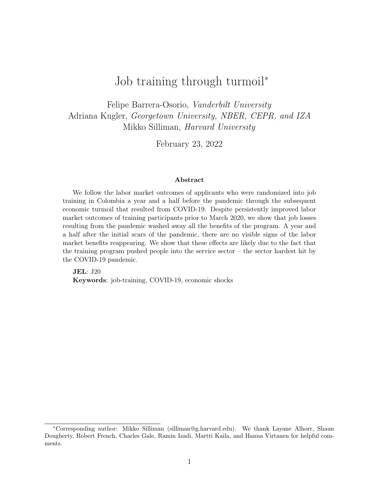# Job training through turmoil<sup>∗</sup>

Felipe Barrera-Osorio, Vanderbilt University Adriana Kugler, Georgetown University, NBER, CEPR, and IZA Mikko Silliman, Harvard University

February 23, 2022

#### Abstract

We follow the labor market outcomes of applicants who were randomized into job training in Colombia a year and a half before the pandemic through the subsequent economic turmoil that resulted from COVID-19. Despite persistently improved labor market outcomes of training participants prior to March 2020, we show that job losses resulting from the pandemic washed away all the benefits of the program. A year and a half after the initial scars of the pandemic, there are no visible signs of the labor market benefits reappearing. We show that these effects are likely due to the fact that the training program pushed people into the service sector – the sector hardest hit by the COVID-19 pandemic.

JEL: J20 Keywords: job-training, COVID-19, economic shocks

<sup>∗</sup>Corresponding author: Mikko Silliman (silliman@g.harvard.edu). We thank Layane Alhorr, Shaun Dougherty, Robert French, Charles Gale, Ramin Izadi, Martti Kaila, and Hanna Virtanen for helpful comments.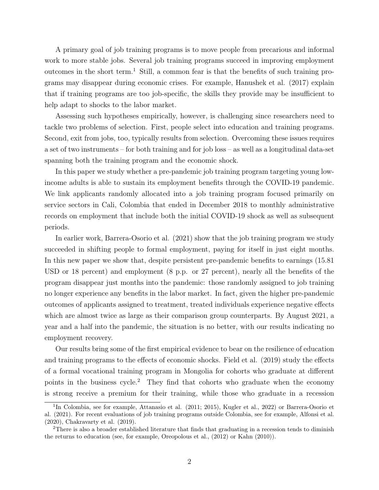A primary goal of job training programs is to move people from precarious and informal work to more stable jobs. Several job training programs succeed in improving employment outcomes in the short term.<sup>1</sup> Still, a common fear is that the benefits of such training programs may disappear during economic crises. For example, Hanushek et al. (2017) explain that if training programs are too job-specific, the skills they provide may be insufficient to help adapt to shocks to the labor market.

Assessing such hypotheses empirically, however, is challenging since researchers need to tackle two problems of selection. First, people select into education and training programs. Second, exit from jobs, too, typically results from selection. Overcoming these issues requires a set of two instruments – for both training and for job loss – as well as a longitudinal data-set spanning both the training program and the economic shock.

In this paper we study whether a pre-pandemic job training program targeting young lowincome adults is able to sustain its employment benefits through the COVID-19 pandemic. We link applicants randomly allocated into a job training program focused primarily on service sectors in Cali, Colombia that ended in December 2018 to monthly administrative records on employment that include both the initial COVID-19 shock as well as subsequent periods.

In earlier work, Barrera-Osorio et al. (2021) show that the job training program we study succeeded in shifting people to formal employment, paying for itself in just eight months. In this new paper we show that, despite persistent pre-pandemic benefits to earnings (15.81 USD or 18 percent) and employment (8 p.p. or 27 percent), nearly all the benefits of the program disappear just months into the pandemic: those randomly assigned to job training no longer experience any benefits in the labor market. In fact, given the higher pre-pandemic outcomes of applicants assigned to treatment, treated individuals experience negative effects which are almost twice as large as their comparison group counterparts. By August 2021, a year and a half into the pandemic, the situation is no better, with our results indicating no employment recovery.

Our results bring some of the first empirical evidence to bear on the resilience of education and training programs to the effects of economic shocks. Field et al. (2019) study the effects of a formal vocational training program in Mongolia for cohorts who graduate at different points in the business cycle.<sup>2</sup> They find that cohorts who graduate when the economy is strong receive a premium for their training, while those who graduate in a recession

<sup>&</sup>lt;sup>1</sup>In Colombia, see for example, Attanasio et al. (2011; 2015), Kugler et al., 2022) or Barrera-Osorio et al. (2021). For recent evaluations of job training programs outside Colombia, see for example, Alfonsi et al. (2020), Chakravarty et al. (2019).

<sup>&</sup>lt;sup>2</sup>There is also a broader established literature that finds that graduating in a recession tends to diminish the returns to education (see, for example, Oreopolous et al., (2012) or Kahn (2010)).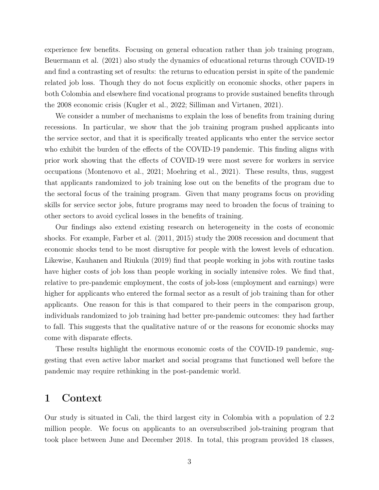experience few benefits. Focusing on general education rather than job training program, Beuermann et al. (2021) also study the dynamics of educational returns through COVID-19 and find a contrasting set of results: the returns to education persist in spite of the pandemic related job loss. Though they do not focus explicitly on economic shocks, other papers in both Colombia and elsewhere find vocational programs to provide sustained benefits through the 2008 economic crisis (Kugler et al., 2022; Silliman and Virtanen, 2021).

We consider a number of mechanisms to explain the loss of benefits from training during recessions. In particular, we show that the job training program pushed applicants into the service sector, and that it is specifically treated applicants who enter the service sector who exhibit the burden of the effects of the COVID-19 pandemic. This finding aligns with prior work showing that the effects of COVID-19 were most severe for workers in service occupations (Montenovo et al., 2021; Moehring et al., 2021). These results, thus, suggest that applicants randomized to job training lose out on the benefits of the program due to the sectoral focus of the training program. Given that many programs focus on providing skills for service sector jobs, future programs may need to broaden the focus of training to other sectors to avoid cyclical losses in the benefits of training.

Our findings also extend existing research on heterogeneity in the costs of economic shocks. For example, Farber et al. (2011, 2015) study the 2008 recession and document that economic shocks tend to be most disruptive for people with the lowest levels of education. Likewise, Kauhanen and Riukula (2019) find that people working in jobs with routine tasks have higher costs of job loss than people working in socially intensive roles. We find that, relative to pre-pandemic employment, the costs of job-loss (employment and earnings) were higher for applicants who entered the formal sector as a result of job training than for other applicants. One reason for this is that compared to their peers in the comparison group, individuals randomized to job training had better pre-pandemic outcomes: they had farther to fall. This suggests that the qualitative nature of or the reasons for economic shocks may come with disparate effects.

These results highlight the enormous economic costs of the COVID-19 pandemic, suggesting that even active labor market and social programs that functioned well before the pandemic may require rethinking in the post-pandemic world.

### 1 Context

Our study is situated in Cali, the third largest city in Colombia with a population of 2.2 million people. We focus on applicants to an oversubscribed job-training program that took place between June and December 2018. In total, this program provided 18 classes,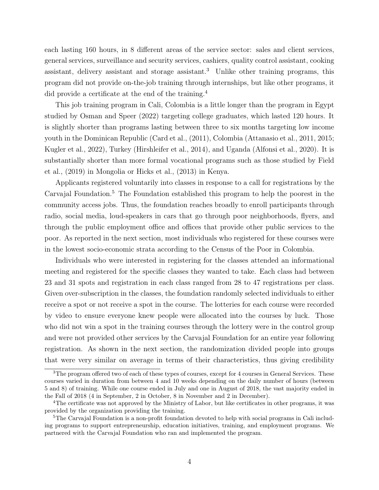each lasting 160 hours, in 8 different areas of the service sector: sales and client services, general services, surveillance and security services, cashiers, quality control assistant, cooking assistant, delivery assistant and storage assistant.<sup>3</sup> Unlike other training programs, this program did not provide on-the-job training through internships, but like other programs, it did provide a certificate at the end of the training.<sup>4</sup>

This job training program in Cali, Colombia is a little longer than the program in Egypt studied by Osman and Speer (2022) targeting college graduates, which lasted 120 hours. It is slightly shorter than programs lasting between three to six months targeting low income youth in the Dominican Republic (Card et al., (2011), Colombia (Attanasio et al., 2011, 2015; Kugler et al., 2022), Turkey (Hirshleifer et al., 2014), and Uganda (Alfonsi et al., 2020). It is substantially shorter than more formal vocational programs such as those studied by Field et al., (2019) in Mongolia or Hicks et al., (2013) in Kenya.

Applicants registered voluntarily into classes in response to a call for registrations by the Carvajal Foundation.<sup>5</sup> The Foundation established this program to help the poorest in the community access jobs. Thus, the foundation reaches broadly to enroll participants through radio, social media, loud-speakers in cars that go through poor neighborhoods, flyers, and through the public employment office and offices that provide other public services to the poor. As reported in the next section, most individuals who registered for these courses were in the lowest socio-economic strata according to the Census of the Poor in Colombia.

Individuals who were interested in registering for the classes attended an informational meeting and registered for the specific classes they wanted to take. Each class had between 23 and 31 spots and registration in each class ranged from 28 to 47 registrations per class. Given over-subscription in the classes, the foundation randomly selected individuals to either receive a spot or not receive a spot in the course. The lotteries for each course were recorded by video to ensure everyone knew people were allocated into the courses by luck. Those who did not win a spot in the training courses through the lottery were in the control group and were not provided other services by the Carvajal Foundation for an entire year following registration. As shown in the next section, the randomization divided people into groups that were very similar on average in terms of their characteristics, thus giving credibility

<sup>&</sup>lt;sup>3</sup>The program offered two of each of these types of courses, except for 4 courses in General Services. These courses varied in duration from between 4 and 10 weeks depending on the daily number of hours (between 5 and 8) of training. While one course ended in July and one in August of 2018, the vast majority ended in the Fall of 2018 (4 in September, 2 in October, 8 in November and 2 in December).

<sup>4</sup>The certificate was not approved by the Ministry of Labor, but like certificates in other programs, it was provided by the organization providing the training.

<sup>&</sup>lt;sup>5</sup>The Carvajal Foundation is a non-profit foundation devoted to help with social programs in Cali including programs to support entrepreneurship, education initiatives, training, and employment programs. We partnered with the Carvajal Foundation who ran and implemented the program.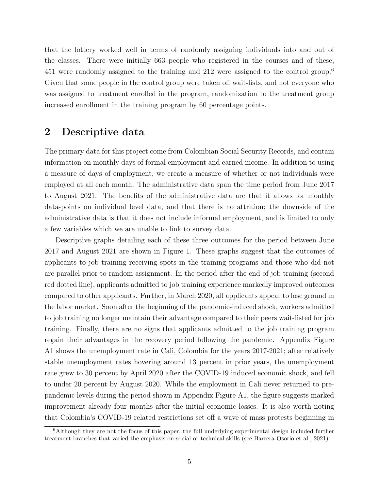that the lottery worked well in terms of randomly assigning individuals into and out of the classes. There were initially 663 people who registered in the courses and of these, 451 were randomly assigned to the training and 212 were assigned to the control group.<sup>6</sup> Given that some people in the control group were taken off wait-lists, and not everyone who was assigned to treatment enrolled in the program, randomization to the treatment group increased enrollment in the training program by 60 percentage points.

## 2 Descriptive data

The primary data for this project come from Colombian Social Security Records, and contain information on monthly days of formal employment and earned income. In addition to using a measure of days of employment, we create a measure of whether or not individuals were employed at all each month. The administrative data span the time period from June 2017 to August 2021. The benefits of the administrative data are that it allows for monthly data-points on individual level data, and that there is no attrition; the downside of the administrative data is that it does not include informal employment, and is limited to only a few variables which we are unable to link to survey data.

Descriptive graphs detailing each of these three outcomes for the period between June 2017 and August 2021 are shown in Figure 1. These graphs suggest that the outcomes of applicants to job training receiving spots in the training programs and those who did not are parallel prior to random assignment. In the period after the end of job training (second red dotted line), applicants admitted to job training experience markedly improved outcomes compared to other applicants. Further, in March 2020, all applicants appear to lose ground in the labor market. Soon after the beginning of the pandemic-induced shock, workers admitted to job training no longer maintain their advantage compared to their peers wait-listed for job training. Finally, there are no signs that applicants admitted to the job training program regain their advantages in the recovery period following the pandemic. Appendix Figure A1 shows the unemployment rate in Cali, Colombia for the years 2017-2021; after relatively stable unemployment rates hovering around 13 percent in prior years, the unemployment rate grew to 30 percent by April 2020 after the COVID-19 induced economic shock, and fell to under 20 percent by August 2020. While the employment in Cali never returned to prepandemic levels during the period shown in Appendix Figure A1, the figure suggests marked improvement already four months after the initial economic losses. It is also worth noting that Colombia's COVID-19 related restrictions set off a wave of mass protests beginning in

<sup>6</sup>Although they are not the focus of this paper, the full underlying experimental design included further treatment branches that varied the emphasis on social or technical skills (see Barrera-Osorio et al., 2021).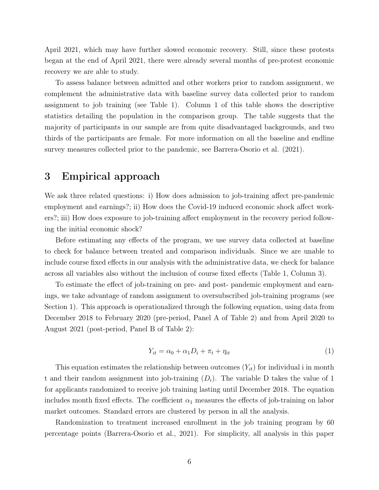April 2021, which may have further slowed economic recovery. Still, since these protests began at the end of April 2021, there were already several months of pre-protest economic recovery we are able to study.

To assess balance between admitted and other workers prior to random assignment, we complement the administrative data with baseline survey data collected prior to random assignment to job training (see Table 1). Column 1 of this table shows the descriptive statistics detailing the population in the comparison group. The table suggests that the majority of participants in our sample are from quite disadvantaged backgrounds, and two thirds of the participants are female. For more information on all the baseline and endline survey measures collected prior to the pandemic, see Barrera-Osorio et al. (2021).

## 3 Empirical approach

We ask three related questions: i) How does admission to job-training affect pre-pandemic employment and earnings?; ii) How does the Covid-19 induced economic shock affect workers?; iii) How does exposure to job-training affect employment in the recovery period following the initial economic shock?

Before estimating any effects of the program, we use survey data collected at baseline to check for balance between treated and comparison individuals. Since we are unable to include course fixed effects in our analysis with the administrative data, we check for balance across all variables also without the inclusion of course fixed effects (Table 1, Column 3).

To estimate the effect of job-training on pre- and post- pandemic employment and earnings, we take advantage of random assignment to oversubscribed job-training programs (see Section 1). This approach is operationalized through the following equation, using data from December 2018 to February 2020 (pre-period, Panel A of Table 2) and from April 2020 to August 2021 (post-period, Panel B of Table 2):

$$
Y_{it} = \alpha_0 + \alpha_1 D_i + \pi_t + \eta_{it} \tag{1}
$$

This equation estimates the relationship between outcomes  $(Y_{it})$  for individual i in month t and their random assignment into job-training  $(D_i)$ . The variable D takes the value of 1 for applicants randomized to receive job training lasting until December 2018. The equation includes month fixed effects. The coefficient  $\alpha_1$  measures the effects of job-training on labor market outcomes. Standard errors are clustered by person in all the analysis.

Randomization to treatment increased enrollment in the job training program by 60 percentage points (Barrera-Osorio et al., 2021). For simplicity, all analysis in this paper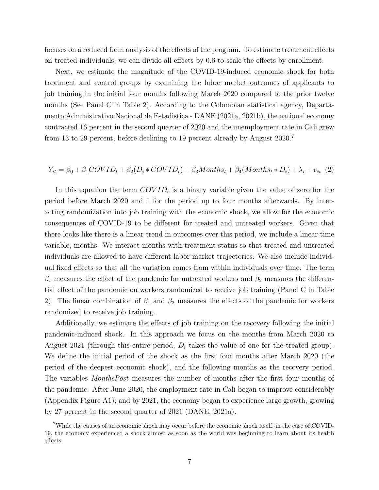focuses on a reduced form analysis of the effects of the program. To estimate treatment effects on treated individuals, we can divide all effects by 0.6 to scale the effects by enrollment.

Next, we estimate the magnitude of the COVID-19-induced economic shock for both treatment and control groups by examining the labor market outcomes of applicants to job training in the initial four months following March 2020 compared to the prior twelve months (See Panel C in Table 2). According to the Colombian statistical agency, Departamento Administrativo Nacional de Estadistica - DANE (2021a, 2021b), the national economy contracted 16 percent in the second quarter of 2020 and the unemployment rate in Cali grew from 13 to 29 percent, before declining to 19 percent already by August 2020.<sup>7</sup>

#### $Y_{it} = \beta_0 + \beta_1 COVID_t + \beta_2(D_i * COVID_t) + \beta_3Monthly_0$ ths<sub>t</sub> +  $\beta_4(Months_t * D_i) + \lambda_i + v_{it}$  (2)

In this equation the term  $\text{COVID}_t$  is a binary variable given the value of zero for the period before March 2020 and 1 for the period up to four months afterwards. By interacting randomization into job training with the economic shock, we allow for the economic consequences of COVID-19 to be different for treated and untreated workers. Given that there looks like there is a linear trend in outcomes over this period, we include a linear time variable, months. We interact months with treatment status so that treated and untreated individuals are allowed to have different labor market trajectories. We also include individual fixed effects so that all the variation comes from within individuals over time. The term  $\beta_1$  measures the effect of the pandemic for untreated workers and  $\beta_2$  measures the differential effect of the pandemic on workers randomized to receive job training (Panel C in Table 2). The linear combination of  $\beta_1$  and  $\beta_2$  measures the effects of the pandemic for workers randomized to receive job training.

Additionally, we estimate the effects of job training on the recovery following the initial pandemic-induced shock. In this approach we focus on the months from March 2020 to August 2021 (through this entire period,  $D_i$  takes the value of one for the treated group). We define the initial period of the shock as the first four months after March 2020 (the period of the deepest economic shock), and the following months as the recovery period. The variables MonthsPost measures the number of months after the first four months of the pandemic. After June 2020, the employment rate in Cali began to improve considerably (Appendix Figure A1); and by 2021, the economy began to experience large growth, growing by 27 percent in the second quarter of 2021 (DANE, 2021a).

<sup>7</sup>While the causes of an economic shock may occur before the economic shock itself, in the case of COVID-19, the economy experienced a shock almost as soon as the world was beginning to learn about its health effects.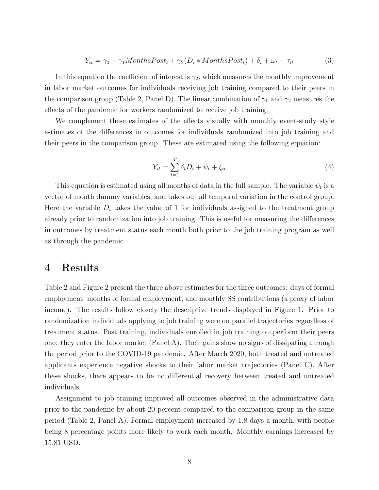$$
Y_{it} = \gamma_0 + \gamma_1 \text{MonthsPost}_t + \gamma_2 (D_i * \text{MonthsPost}_t) + \delta_i + \omega_t + \tau_{it} \tag{3}
$$

In this equation the coefficient of interest is  $\gamma_2$ , which measures the monthly improvement in labor market outcomes for individuals receiving job training compared to their peers in the comparison group (Table 2, Panel D). The linear combination of  $\gamma_1$  and  $\gamma_2$  measures the effects of the pandemic for workers randomized to receive job training.

We complement these estimates of the effects visually with monthly event-study style estimates of the differences in outcomes for individuals randomized into job training and their peers in the comparison group. These are estimated using the following equation:

$$
Y_{it} = \sum_{t=1}^{T} \delta_t D_i + \psi_t + \xi_{it}
$$
\n<sup>(4)</sup>

This equation is estimated using all months of data in the full sample. The variable  $\psi_t$  is a vector of month dummy variables, and takes out all temporal variation in the control group. Here the variable  $D_i$  takes the value of 1 for individuals assigned to the treatment group already prior to randomization into job training. This is useful for measuring the differences in outcomes by treatment status each month both prior to the job training program as well as through the pandemic.

## 4 Results

Table 2 and Figure 2 present the three above estimates for the three outcomes: days of formal employment, months of formal employment, and monthly SS contributions (a proxy of labor income). The results follow closely the descriptive trends displayed in Figure 1. Prior to randomization individuals applying to job training were on parallel trajectories regardless of treatment status. Post training, individuals enrolled in job training outperform their peers once they enter the labor market (Panel A). Their gains show no signs of dissipating through the period prior to the COVID-19 pandemic. After March 2020, both treated and untreated applicants experience negative shocks to their labor market trajectories (Panel C). After these shocks, there appears to be no differential recovery between treated and untreated individuals.

Assignment to job training improved all outcomes observed in the administrative data prior to the pandemic by about 20 percent compared to the comparison group in the same period (Table 2, Panel A). Formal employment increased by 1.8 days a month, with people being 8 percentage points more likely to work each month. Monthly earnings increased by 15.81 USD.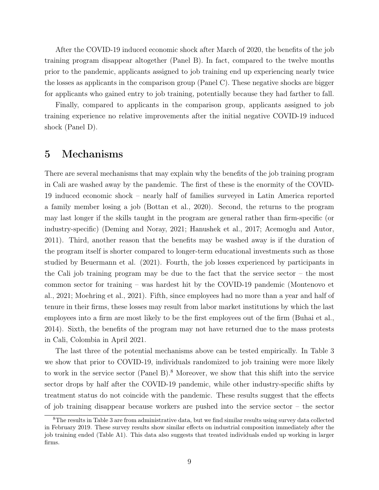After the COVID-19 induced economic shock after March of 2020, the benefits of the job training program disappear altogether (Panel B). In fact, compared to the twelve months prior to the pandemic, applicants assigned to job training end up experiencing nearly twice the losses as applicants in the comparison group (Panel C). These negative shocks are bigger for applicants who gained entry to job training, potentially because they had farther to fall.

Finally, compared to applicants in the comparison group, applicants assigned to job training experience no relative improvements after the initial negative COVID-19 induced shock (Panel D).

## 5 Mechanisms

There are several mechanisms that may explain why the benefits of the job training program in Cali are washed away by the pandemic. The first of these is the enormity of the COVID-19 induced economic shock – nearly half of families surveyed in Latin America reported a family member losing a job (Bottan et al., 2020). Second, the returns to the program may last longer if the skills taught in the program are general rather than firm-specific (or industry-specific) (Deming and Noray, 2021; Hanushek et al., 2017; Acemoglu and Autor, 2011). Third, another reason that the benefits may be washed away is if the duration of the program itself is shorter compared to longer-term educational investments such as those studied by Beuermann et al. (2021). Fourth, the job losses experienced by participants in the Cali job training program may be due to the fact that the service sector – the most common sector for training – was hardest hit by the COVID-19 pandemic (Montenovo et al., 2021; Moehring et al., 2021). Fifth, since employees had no more than a year and half of tenure in their firms, these losses may result from labor market institutions by which the last employees into a firm are most likely to be the first employees out of the firm (Buhai et al., 2014). Sixth, the benefits of the program may not have returned due to the mass protests in Cali, Colombia in April 2021.

The last three of the potential mechanisms above can be tested empirically. In Table 3 we show that prior to COVID-19, individuals randomized to job training were more likely to work in the service sector (Panel B).<sup>8</sup> Moreover, we show that this shift into the service sector drops by half after the COVID-19 pandemic, while other industry-specific shifts by treatment status do not coincide with the pandemic. These results suggest that the effects of job training disappear because workers are pushed into the service sector – the sector

<sup>8</sup>The results in Table 3 are from administrative data, but we find similar results using survey data collected in February 2019. These survey results show similar effects on industrial composition immediately after the job training ended (Table A1). This data also suggests that treated individuals ended up working in larger firms.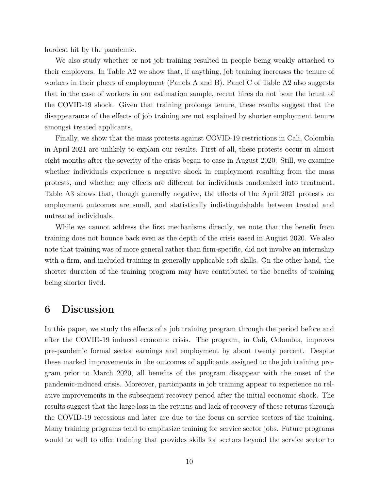hardest hit by the pandemic.

We also study whether or not job training resulted in people being weakly attached to their employers. In Table A2 we show that, if anything, job training increases the tenure of workers in their places of employment (Panels A and B). Panel C of Table A2 also suggests that in the case of workers in our estimation sample, recent hires do not bear the brunt of the COVID-19 shock. Given that training prolongs tenure, these results suggest that the disappearance of the effects of job training are not explained by shorter employment tenure amongst treated applicants.

Finally, we show that the mass protests against COVID-19 restrictions in Cali, Colombia in April 2021 are unlikely to explain our results. First of all, these protests occur in almost eight months after the severity of the crisis began to ease in August 2020. Still, we examine whether individuals experience a negative shock in employment resulting from the mass protests, and whether any effects are different for individuals randomized into treatment. Table A3 shows that, though generally negative, the effects of the April 2021 protests on employment outcomes are small, and statistically indistinguishable between treated and untreated individuals.

While we cannot address the first mechanisms directly, we note that the benefit from training does not bounce back even as the depth of the crisis eased in August 2020. We also note that training was of more general rather than firm-specific, did not involve an internship with a firm, and included training in generally applicable soft skills. On the other hand, the shorter duration of the training program may have contributed to the benefits of training being shorter lived.

## 6 Discussion

In this paper, we study the effects of a job training program through the period before and after the COVID-19 induced economic crisis. The program, in Cali, Colombia, improves pre-pandemic formal sector earnings and employment by about twenty percent. Despite these marked improvements in the outcomes of applicants assigned to the job training program prior to March 2020, all benefits of the program disappear with the onset of the pandemic-induced crisis. Moreover, participants in job training appear to experience no relative improvements in the subsequent recovery period after the initial economic shock. The results suggest that the large loss in the returns and lack of recovery of these returns through the COVID-19 recessions and later are due to the focus on service sectors of the training. Many training programs tend to emphasize training for service sector jobs. Future programs would to well to offer training that provides skills for sectors beyond the service sector to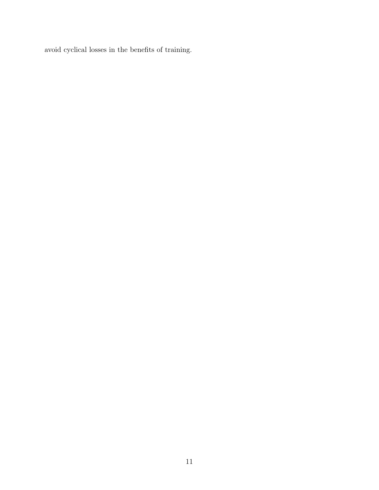avoid cyclical losses in the benefits of training.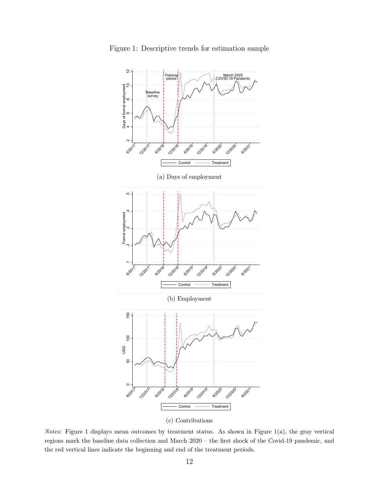

Figure 1: Descriptive trends for estimation sample

(c) Contributions

Notes: Figure 1 displays mean outcomes by treatment status. As shown in Figure 1(a), the gray vertical regions mark the baseline data collection and March 2020 – the first shock of the Covid-19 pandemic, and the red vertical lines indicate the beginning and end of the treatment periods.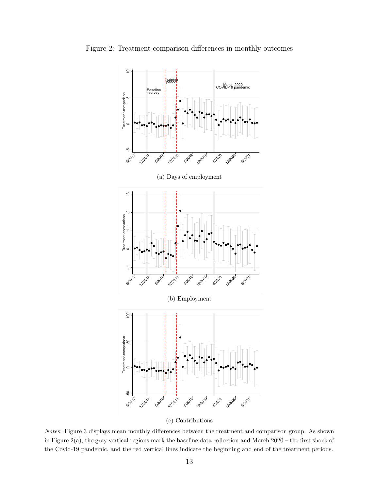Figure 2: Treatment-comparison differences in monthly outcomes



(c) Contributions

Notes: Figure 3 displays mean monthly differences between the treatment and comparison group. As shown in Figure 2(a), the gray vertical regions mark the baseline data collection and March 2020 – the first shock of the Covid-19 pandemic, and the red vertical lines indicate the beginning and end of the treatment periods.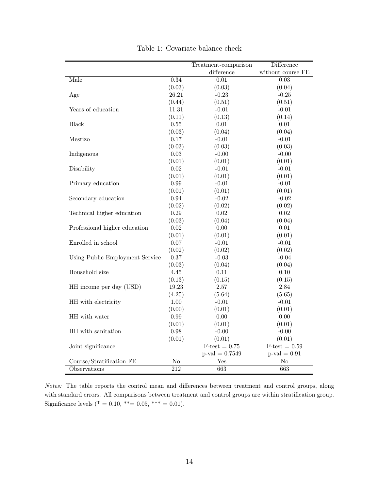|                                 |                        | Treatment-comparison   | Difference             |
|---------------------------------|------------------------|------------------------|------------------------|
|                                 |                        | difference             | without course FE      |
| Male                            | 0.34                   | $\overline{0.01}$      | $\overline{0.03}$      |
|                                 | (0.03)                 | (0.03)                 | (0.04)                 |
| Age                             | 26.21                  | $-0.23$                | $-0.25$                |
|                                 | (0.44)                 | (0.51)                 | (0.51)                 |
| Years of education              | 11.31                  | $-0.01$                | $-0.01$                |
|                                 | (0.11)                 | (0.13)                 | (0.14)                 |
| <b>Black</b>                    | 0.55                   | 0.01                   | $0.01\,$               |
|                                 | (0.03)                 | (0.04)                 | (0.04)                 |
| Mestizo                         | 0.17                   | $-0.01$                | $-0.01$                |
|                                 | (0.03)                 | (0.03)                 | (0.03)                 |
| Indigenous                      | 0.03                   | $-0.00$                | $-0.00$                |
|                                 | (0.01)                 | (0.01)                 | (0.01)                 |
| Disability                      | 0.02                   | $-0.01$                | $-0.01$                |
|                                 | (0.01)                 | (0.01)                 | (0.01)                 |
| Primary education               | 0.99                   | $-0.01$                | $-0.01$                |
|                                 | (0.01)                 | (0.01)                 | (0.01)                 |
| Secondary education             | 0.94                   | $-0.02$                | $-0.02$                |
|                                 | (0.02)                 | (0.02)                 | (0.02)                 |
| Technical higher education      | $0.29\,$               | 0.02                   | $\rm 0.02$             |
|                                 | (0.03)                 | (0.04)                 | (0.04)                 |
| Professional higher education   | $0.02\,$               | 0.00                   | $0.01\,$               |
|                                 | (0.01)                 | (0.01)                 | (0.01)                 |
| Enrolled in school              | 0.07                   | $-0.01$                | $-0.01$                |
|                                 | (0.02)                 | (0.02)                 | (0.02)                 |
| Using Public Employment Service | 0.37                   | $-0.03$                | $-0.04$                |
|                                 | (0.03)                 | (0.04)                 | (0.04)                 |
| Household size                  | 4.45                   | 0.11                   | 0.10                   |
|                                 | (0.13)                 | (0.15)                 | (0.15)                 |
| HH income per day (USD)         | 19.23                  | $2.57\,$               | 2.84                   |
|                                 | (4.25)                 | (5.64)                 | (5.65)                 |
| HH with electricity             | $1.00\,$               | $-0.01$                | $-0.01$                |
|                                 | (0.00)                 | (0.01)                 | (0.01)                 |
| HH with water                   | 0.99                   | 0.00                   | 0.00                   |
|                                 | (0.01)                 | (0.01)                 | (0.01)                 |
| HH with sanitation              | 0.98                   | $-0.00$                | $-0.00$                |
|                                 | (0.01)                 | (0.01)                 | (0.01)                 |
| Joint significance              |                        | $F\text{-test} = 0.75$ | $F\text{-test} = 0.59$ |
|                                 |                        | $p$ -val = 0.7549      | $p$ -val = 0.91        |
| Course/Stratification FE        | $\overline{\text{No}}$ | Yes                    | No                     |
| Observations                    | 212                    | 663                    | 663                    |

Table 1: Covariate balance check

Notes: The table reports the control mean and differences between treatment and control groups, along with standard errors. All comparisons between treatment and control groups are within stratification group. Significance levels (\* = 0.10, \*\*= 0.05, \*\*\* = 0.01).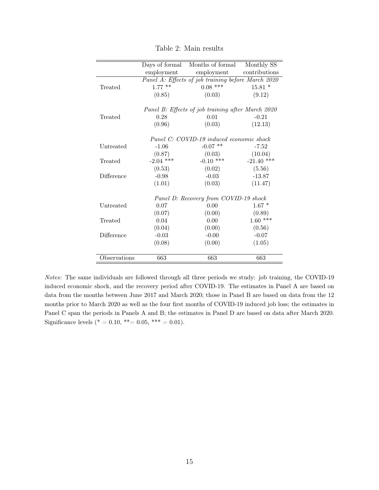|              |                                                   | Days of formal Months of formal                    | Monthly SS    |  |  |
|--------------|---------------------------------------------------|----------------------------------------------------|---------------|--|--|
|              | employment                                        | employment                                         | contributions |  |  |
|              |                                                   | Panel A: Effects of job training before March 2020 |               |  |  |
| Treated      | $1.77$ **                                         | $0.08$ ***                                         | $15.81*$      |  |  |
|              |                                                   |                                                    |               |  |  |
|              | (0.85)                                            | (0.03)                                             | (9.12)        |  |  |
|              | Panel B: Effects of job training after March 2020 |                                                    |               |  |  |
| Treated      | 0.28                                              | 0.01                                               | $-0.21$       |  |  |
|              | (0.96)                                            | (0.03)                                             | (12.13)       |  |  |
|              |                                                   |                                                    |               |  |  |
|              | Panel C: COVID-19 induced economic shock          |                                                    |               |  |  |
| Untreated    | $-1.06$                                           | $-0.07$ **                                         | $-7.52$       |  |  |
|              | (0.87)                                            | (0.03)                                             | (10.04)       |  |  |
| Treated      | $-2.04$ ***                                       | $-0.10$ ***                                        | $-21.40$ ***  |  |  |
|              | (0.53)                                            | (0.02)                                             | (5.56)        |  |  |
| Difference   | $-0.98$                                           | $-0.03$                                            | $-13.87$      |  |  |
|              | (1.01)                                            | (0.03)                                             | (11.47)       |  |  |
|              |                                                   | Panel D: Recovery from COVID-19 shock              |               |  |  |
| Untreated    | 0.07                                              | 0.00                                               | $1.67*$       |  |  |
|              |                                                   |                                                    |               |  |  |
|              | (0.07)                                            | (0.00)                                             | (0.89)        |  |  |
| Treated      | 0.04                                              | 0.00                                               | $1.60$ ***    |  |  |
|              | (0.04)                                            | (0.00)                                             | (0.56)        |  |  |
| Difference   | $-0.03$                                           | $-0.00$                                            | $-0.07$       |  |  |
|              | (0.08)                                            | (0.00)                                             | (1.05)        |  |  |
|              |                                                   |                                                    |               |  |  |
| Observations | 663                                               | 663                                                | 663           |  |  |

Table 2: Main results

Notes: The same individuals are followed through all three periods we study: job training, the COVID-19 induced economic shock, and the recovery period after COVID-19. The estimates in Panel A are based on data from the months between June 2017 and March 2020; those in Panel B are based on data from the 12 months prior to March 2020 as well as the four first months of COVID-19 induced job loss; the estimates in Panel C span the periods in Panels A and B; the estimates in Panel D are based on data after March 2020. Significance levels (\* = 0.10, \*\*= 0.05, \*\*\* = 0.01).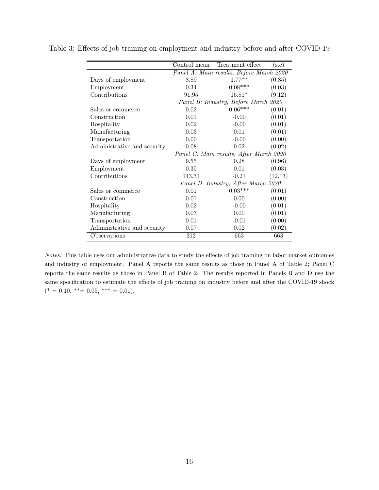|                             | Control mean                            | Treatment effect                         | $(\mathrm{s.e})$ |
|-----------------------------|-----------------------------------------|------------------------------------------|------------------|
|                             |                                         | Panel A: Main results, Before March 2020 |                  |
| Days of employment          | 8.89                                    | $1.77**$                                 | (0.85)           |
| Employment                  | 0.34                                    | $0.08***$                                | (0.03)           |
| Contributions               | 91.95                                   | $15.81*$                                 | (9.12)           |
|                             | Panel B: Industry, Before March 2020    |                                          |                  |
| Sales or commerce           | 0.02                                    | $0.06***$                                | (0.01)           |
| Construction                | 0.01                                    | $-0.00$                                  | (0.01)           |
| Hospitality                 | 0.02                                    | $-0.00$                                  | (0.01)           |
| Manufacturing               | 0.03                                    | 0.01                                     | (0.01)           |
| Transportation              | 0.00                                    | $-0.00$                                  | (0.00)           |
| Administrative and security | 0.08                                    | 0.02                                     | (0.02)           |
|                             | Panel C: Main results, After March 2020 |                                          |                  |
| Days of employment          | 9.55                                    | 0.28                                     | (0.96)           |
| Employment                  | 0.35                                    | 0.01                                     | (0.03)           |
| Contributions               | 113.31                                  | $-0.21$                                  | (12.13)          |
|                             | Panel D: Industry, After March 2020     |                                          |                  |
| Sales or commerce           | 0.01                                    | $0.03***$                                | (0.01)           |
| Construction                | 0.01                                    | 0.00                                     | (0.00)           |
| Hospitality                 | 0.02                                    | $-0.00$                                  | (0.01)           |
| Manufacturing               | 0.03                                    | 0.00                                     | (0.01)           |
| Transportation              | 0.01                                    | $-0.01$                                  | (0.00)           |
| Administrative and security | 0.07                                    | 0.02                                     | (0.02)           |
| Observations                | 212                                     | 663                                      | 663              |

Table 3: Effects of job training on employment and industry before and after COVID-19

Notes: This table uses our administrative data to study the effects of job training on labor market outcomes and industry of employment. Panel A reports the same results as those in Panel A of Table 2; Panel C reports the same results as those in Panel B of Table 2. The results reported in Panels B and D use the same specification to estimate the effects of job training on industry before and after the COVID-19 shock  $(* = 0.10, ** = 0.05, ** = 0.01).$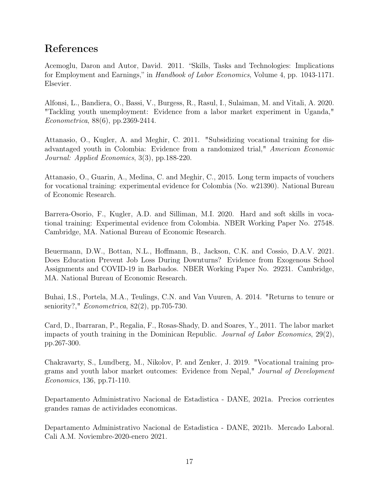# References

Acemoglu, Daron and Autor, David. 2011. "Skills, Tasks and Technologies: Implications for Employment and Earnings," in Handbook of Labor Economics, Volume 4, pp. 1043-1171. Elsevier.

Alfonsi, L., Bandiera, O., Bassi, V., Burgess, R., Rasul, I., Sulaiman, M. and Vitali, A. 2020. "Tackling youth unemployment: Evidence from a labor market experiment in Uganda," Econometrica, 88(6), pp.2369-2414.

Attanasio, O., Kugler, A. and Meghir, C. 2011. "Subsidizing vocational training for disadvantaged youth in Colombia: Evidence from a randomized trial," American Economic Journal: Applied Economics, 3(3), pp.188-220.

Attanasio, O., Guarin, A., Medina, C. and Meghir, C., 2015. Long term impacts of vouchers for vocational training: experimental evidence for Colombia (No. w21390). National Bureau of Economic Research.

Barrera-Osorio, F., Kugler, A.D. and Silliman, M.I. 2020. Hard and soft skills in vocational training: Experimental evidence from Colombia. NBER Working Paper No. 27548. Cambridge, MA. National Bureau of Economic Research.

Beuermann, D.W., Bottan, N.L., Hoffmann, B., Jackson, C.K. and Cossio, D.A.V. 2021. Does Education Prevent Job Loss During Downturns? Evidence from Exogenous School Assignments and COVID-19 in Barbados. NBER Working Paper No. 29231. Cambridge, MA. National Bureau of Economic Research.

Buhai, I.S., Portela, M.A., Teulings, C.N. and Van Vuuren, A. 2014. "Returns to tenure or seniority?," Econometrica, 82(2), pp.705-730.

Card, D., Ibarraran, P., Regalia, F., Rosas-Shady, D. and Soares, Y., 2011. The labor market impacts of youth training in the Dominican Republic. Journal of Labor Economics, 29(2), pp.267-300.

Chakravarty, S., Lundberg, M., Nikolov, P. and Zenker, J. 2019. "Vocational training programs and youth labor market outcomes: Evidence from Nepal," Journal of Development Economics, 136, pp.71-110.

Departamento Administrativo Nacional de Estadistica - DANE, 2021a. Precios corrientes grandes ramas de actividades economicas.

Departamento Administrativo Nacional de Estadistica - DANE, 2021b. Mercado Laboral. Cali A.M. Noviembre-2020-enero 2021.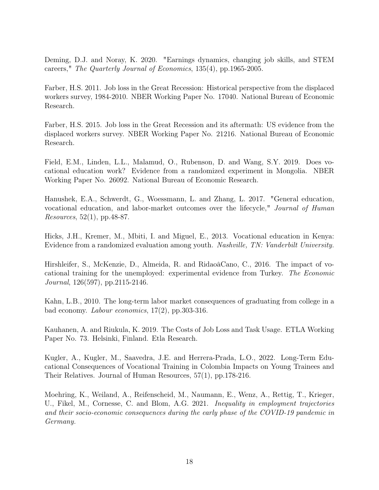Deming, D.J. and Noray, K. 2020. "Earnings dynamics, changing job skills, and STEM careers," The Quarterly Journal of Economics, 135(4), pp.1965-2005.

Farber, H.S. 2011. Job loss in the Great Recession: Historical perspective from the displaced workers survey, 1984-2010. NBER Working Paper No. 17040. National Bureau of Economic Research.

Farber, H.S. 2015. Job loss in the Great Recession and its aftermath: US evidence from the displaced workers survey. NBER Working Paper No. 21216. National Bureau of Economic Research.

Field, E.M., Linden, L.L., Malamud, O., Rubenson, D. and Wang, S.Y. 2019. Does vocational education work? Evidence from a randomized experiment in Mongolia. NBER Working Paper No. 26092. National Bureau of Economic Research.

Hanushek, E.A., Schwerdt, G., Woessmann, L. and Zhang, L. 2017. "General education, vocational education, and labor-market outcomes over the lifecycle," Journal of Human Resources, 52(1), pp.48-87.

Hicks, J.H., Kremer, M., Mbiti, I. and Miguel, E., 2013. Vocational education in Kenya: Evidence from a randomized evaluation among youth. Nashville, TN: Vanderbilt University.

Hirshleifer, S., McKenzie, D., Almeida, R. and RidaoâCano, C., 2016. The impact of vocational training for the unemployed: experimental evidence from Turkey. The Economic Journal, 126(597), pp.2115-2146.

Kahn, L.B., 2010. The long-term labor market consequences of graduating from college in a bad economy. Labour economics, 17(2), pp.303-316.

Kauhanen, A. and Riukula, K. 2019. The Costs of Job Loss and Task Usage. ETLA Working Paper No. 73. Helsinki, Finland. Etla Research.

Kugler, A., Kugler, M., Saavedra, J.E. and Herrera-Prada, L.O., 2022. Long-Term Educational Consequences of Vocational Training in Colombia Impacts on Young Trainees and Their Relatives. Journal of Human Resources, 57(1), pp.178-216.

Moehring, K., Weiland, A., Reifenscheid, M., Naumann, E., Wenz, A., Rettig, T., Krieger, U., Fikel, M., Cornesse, C. and Blom, A.G. 2021. Inequality in employment trajectories and their socio-economic consequences during the early phase of the COVID-19 pandemic in Germany.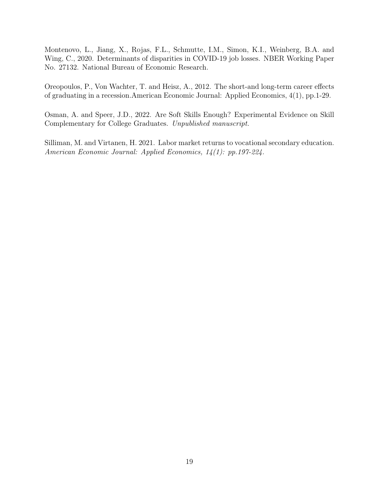Montenovo, L., Jiang, X., Rojas, F.L., Schmutte, I.M., Simon, K.I., Weinberg, B.A. and Wing, C., 2020. Determinants of disparities in COVID-19 job losses. NBER Working Paper No. 27132. National Bureau of Economic Research.

Oreopoulos, P., Von Wachter, T. and Heisz, A., 2012. The short-and long-term career effects of graduating in a recession.American Economic Journal: Applied Economics, 4(1), pp.1-29.

Osman, A. and Speer, J.D., 2022. Are Soft Skills Enough? Experimental Evidence on Skill Complementary for College Graduates. Unpublished manuscript.

Silliman, M. and Virtanen, H. 2021. Labor market returns to vocational secondary education. American Economic Journal: Applied Economics, 14(1): pp.197-224.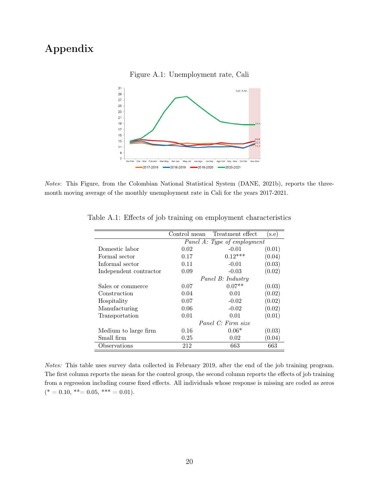# Appendix



Figure A.1: Unemployment rate, Cali

Notes: This Figure, from the Colombian National Statistical System (DANE, 2021b), reports the threemonth moving average of the monthly unemployment rate in Cali for the years 2017-2021.

|                        | Control mean                | Treatment effect | $(\mathrm{s.e})$ |
|------------------------|-----------------------------|------------------|------------------|
|                        | Panel A: Type of employment |                  |                  |
| Domestic labor         | 0.02                        | $-0.01$          | (0.01)           |
| Formal sector          | 0.17                        | $0.12***$        | (0.04)           |
| Informal sector        | 0.11                        | $-0.01$          | (0.03)           |
| Independent contractor | 0.09                        | $-0.03$          | (0.02)           |
|                        | Panel B: Industry           |                  |                  |
| Sales or commerce      | 0.07                        | $0.07**$         | (0.03)           |
| Construction           | 0.04                        | 0.01             | (0.02)           |
| Hospitality            | 0.07                        | $-0.02$          | (0.02)           |
| Manufacturing          | 0.06                        | $-0.02$          | (0.02)           |
| Transportation         | 0.01                        | 0.01             | (0.01)           |
|                        | Panel C: Firm size          |                  |                  |
| Medium to large firm   | 0.16                        | $0.06*$          | (0.03)           |
| Small firm             | 0.25                        | 0.02             | (0.04)           |
| Observations           | 212                         | 663              | 663              |

Table A.1: Effects of job training on employment characteristics

Notes: This table uses survey data collected in February 2019, after the end of the job training program. The first column reports the mean for the control group, the second column reports the effects of job training from a regression including course fixed effects. All individuals whose response is missing are coded as zeros  $(* = 0.10, ** = 0.05, ** = 0.01).$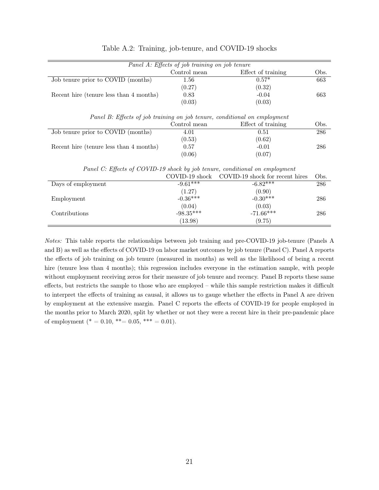| Panel A: Effects of job training on job tenure                              |                |                                                                           |      |
|-----------------------------------------------------------------------------|----------------|---------------------------------------------------------------------------|------|
|                                                                             | Control mean   | Effect of training                                                        | Obs. |
| Job tenure prior to COVID (months)                                          | 1.56           | $0.57*$                                                                   | 663  |
|                                                                             | (0.27)         | (0.32)                                                                    |      |
| Recent hire (tenure less than 4 months)                                     | 0.83           | $-0.04$                                                                   | 663  |
|                                                                             | (0.03)         | (0.03)                                                                    |      |
|                                                                             |                | Panel B: Effects of job training on job tenure, conditional on employment |      |
|                                                                             | Control mean   | Effect of training                                                        | Obs. |
| Job tenure prior to COVID (months)                                          | 4.01           | 0.51                                                                      | 286  |
|                                                                             | (0.53)         | (0.62)                                                                    |      |
| Recent hire (tenure less than 4 months)                                     | 0.57           | $-0.01$                                                                   | 286  |
|                                                                             | (0.06)         | (0.07)                                                                    |      |
| Panel C: Effects of COVID-19 shock by job tenure, conditional on employment |                |                                                                           |      |
|                                                                             | COVID-19 shock | COVID-19 shock for recent hires                                           | Obs. |
| Days of employment                                                          | $-9.61***$     | $-6.82***$                                                                | 286  |
|                                                                             | (1.27)         | (0.90)                                                                    |      |
| Employment                                                                  | $-0.36***$     | $-0.30***$                                                                | 286  |
|                                                                             | (0.04)         | (0.03)                                                                    |      |
| Contributions                                                               | $-98.35***$    | $-71.66***$                                                               | 286  |
|                                                                             | (13.98)        | (9.75)                                                                    |      |

#### Table A.2: Training, job-tenure, and COVID-19 shocks

Notes: This table reports the relationships between job training and pre-COVID-19 job-tenure (Panels A and B) as well as the effects of COVID-19 on labor market outcomes by job tenure (Panel C). Panel A reports the effects of job training on job tenure (measured in months) as well as the likelihood of being a recent hire (tenure less than 4 months); this regression includes everyone in the estimation sample, with people without employment receiving zeros for their measure of job tenure and recency. Panel B reports these same effects, but restricts the sample to those who are employed – while this sample restriction makes it difficult to interpret the effects of training as causal, it allows us to gauge whether the effects in Panel A are driven by employment at the extensive margin. Panel C reports the effects of COVID-19 for people employed in the months prior to March 2020, split by whether or not they were a recent hire in their pre-pandemic place of employment (\* = 0.10, \*\*= 0.05, \*\*\* = 0.01).